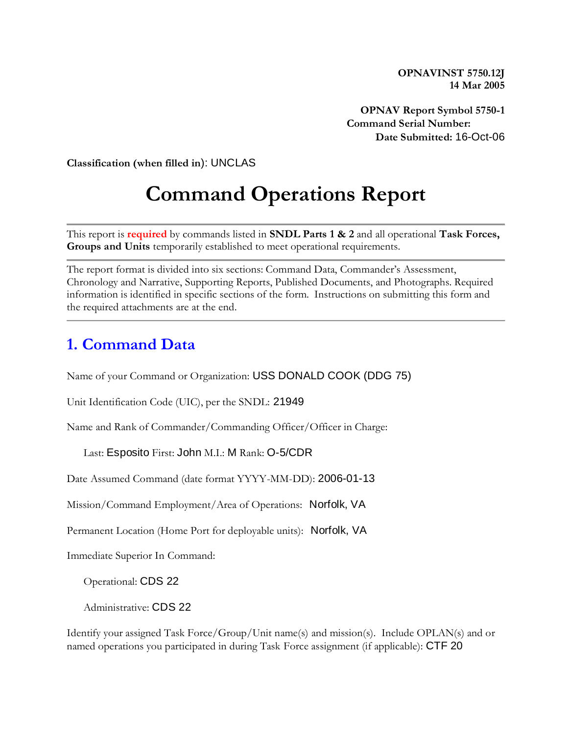**OPNAVINST 5750.12J 14 Mar 2005**

**OPNAV Report Symbol 5750-1 Command Serial Number: Date Submitted:** 16-Oct-06

**Classification (when filled in**): UNCLAS

# **Command Operations Report**

This report is **required** by commands listed in **SNDL Parts 1 & 2** and all operational **Task Forces, Groups and Units** temporarily established to meet operational requirements.

The report format is divided into six sections: Command Data, Commander's Assessment, Chronology and Narrative, Supporting Reports, Published Documents, and Photographs. Required information is identified in specific sections of the form. Instructions on submitting this form and the required attachments are at the end.

# **1. Command Data**

Name of your Command or Organization: USS DONALD COOK (DDG 75)

Unit Identification Code (UIC), per the SNDL: 21949

Name and Rank of Commander/Commanding Officer/Officer in Charge:

Last: Esposito First: John M.I.: M Rank: O-5/CDR

Date Assumed Command (date format YYYY-MM-DD): 2006-01-13

Mission/Command Employment/Area of Operations: Norfolk, VA

Permanent Location (Home Port for deployable units): Norfolk, VA

Immediate Superior In Command:

Operational: CDS 22

Administrative: CDS 22

Identify your assigned Task Force/Group/Unit name(s) and mission(s). Include OPLAN(s) and or named operations you participated in during Task Force assignment (if applicable): CTF 20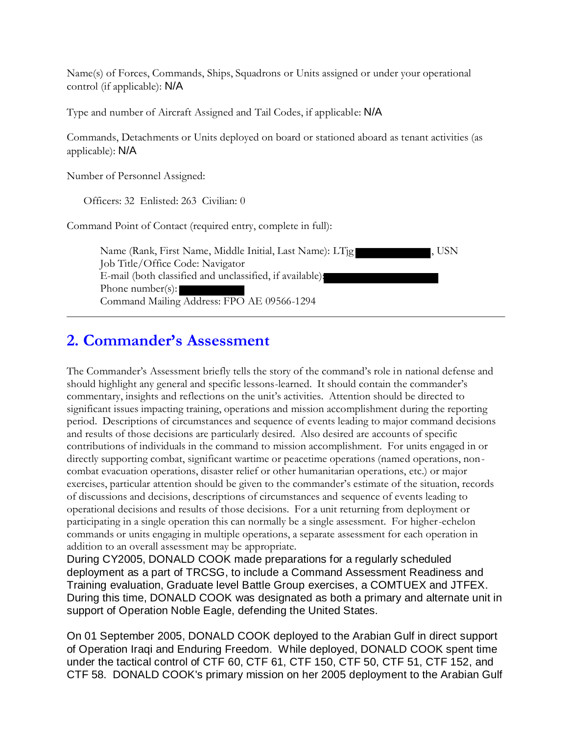Name(s) of Forces, Commands, Ships, Squadrons or Units assigned or under your operational control (if applicable): N/A

Type and number of Aircraft Assigned and Tail Codes, if applicable: N/A

Commands, Detachments or Units deployed on board or stationed aboard as tenant activities (as applicable): N/A

Number of Personnel Assigned:

Officers: 32 Enlisted: 263 Civilian: 0

Command Point of Contact (required entry, complete in full):

| Name (Rank, First Name, Middle Initial, Last Name): LTjg<br>I. USN |  |
|--------------------------------------------------------------------|--|
| Job Title/Office Code: Navigator                                   |  |
| E-mail (both classified and unclassified, if available):           |  |
| Phone number(s):                                                   |  |
| Command Mailing Address: FPO AE 09566-1294                         |  |

# **2. Commander's Assessment**

The Commander's Assessment briefly tells the story of the command's role in national defense and should highlight any general and specific lessons-learned. It should contain the commander's commentary, insights and reflections on the unit's activities. Attention should be directed to significant issues impacting training, operations and mission accomplishment during the reporting period. Descriptions of circumstances and sequence of events leading to major command decisions and results of those decisions are particularly desired. Also desired are accounts of specific contributions of individuals in the command to mission accomplishment. For units engaged in or directly supporting combat, significant wartime or peacetime operations (named operations, noncombat evacuation operations, disaster relief or other humanitarian operations, etc.) or major exercises, particular attention should be given to the commander's estimate of the situation, records of discussions and decisions, descriptions of circumstances and sequence of events leading to operational decisions and results of those decisions. For a unit returning from deployment or participating in a single operation this can normally be a single assessment. For higher-echelon commands or units engaging in multiple operations, a separate assessment for each operation in addition to an overall assessment may be appropriate.

During CY2005, DONALD COOK made preparations for a regularly scheduled deployment as a part of TRCSG, to include a Command Assessment Readiness and Training evaluation, Graduate level Battle Group exercises, a COMTUEX and JTFEX. During this time, DONALD COOK was designated as both a primary and alternate unit in support of Operation Noble Eagle, defending the United States.

On 01 September 2005, DONALD COOK deployed to the Arabian Gulf in direct support of Operation Iraqi and Enduring Freedom. While deployed, DONALD COOK spent time under the tactical control of CTF 60, CTF 61, CTF 150, CTF 50, CTF 51, CTF 152, and CTF 58. DONALD COOK's primary mission on her 2005 deployment to the Arabian Gulf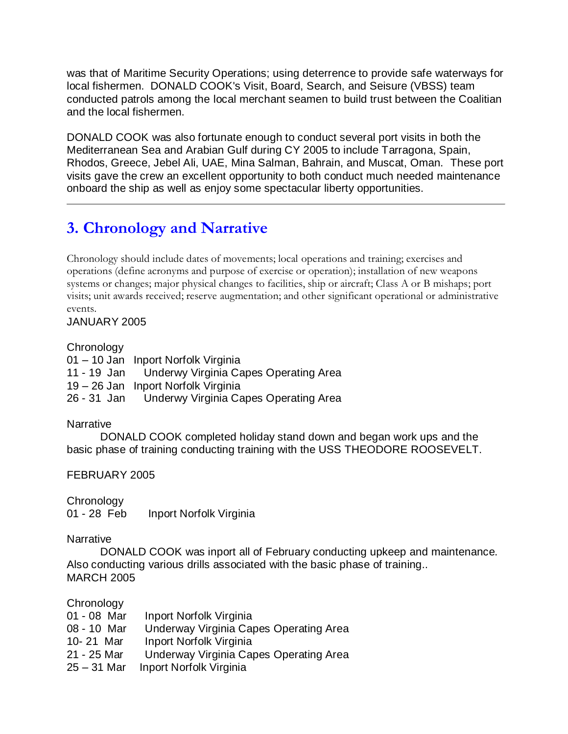was that of Maritime Security Operations; using deterrence to provide safe waterways for local fishermen. DONALD COOK's Visit, Board, Search, and Seisure (VBSS) team conducted patrols among the local merchant seamen to build trust between the Coalitian and the local fishermen.

DONALD COOK was also fortunate enough to conduct several port visits in both the Mediterranean Sea and Arabian Gulf during CY 2005 to include Tarragona, Spain, Rhodos, Greece, Jebel Ali, UAE, Mina Salman, Bahrain, and Muscat, Oman. These port visits gave the crew an excellent opportunity to both conduct much needed maintenance onboard the ship as well as enjoy some spectacular liberty opportunities.

# **3. Chronology and Narrative**

Chronology should include dates of movements; local operations and training; exercises and operations (define acronyms and purpose of exercise or operation); installation of new weapons systems or changes; major physical changes to facilities, ship or aircraft; Class A or B mishaps; port visits; unit awards received; reserve augmentation; and other significant operational or administrative events.

JANUARY 2005

# **Chronology**

01 – 10 Jan Inport Norfolk Virginia 11 - 19 Jan Underwy Virginia Capes Operating Area 19 – 26 Jan Inport Norfolk Virginia 26 - 31 Jan Underwy Virginia Capes Operating Area

# **Narrative**

DONALD COOK completed holiday stand down and began work ups and the basic phase of training conducting training with the USS THEODORE ROOSEVELT.

# FEBRUARY 2005

**Chronology** 

01 - 28 Feb Inport Norfolk Virginia

# **Narrative**

DONALD COOK was inport all of February conducting upkeep and maintenance. Also conducting various drills associated with the basic phase of training.. MARCH 2005

# **Chronology**

| Inport Norfolk Virginia                |
|----------------------------------------|
| Underway Virginia Capes Operating Area |
| Inport Norfolk Virginia                |
| Underway Virginia Capes Operating Area |
| Inport Norfolk Virginia                |
|                                        |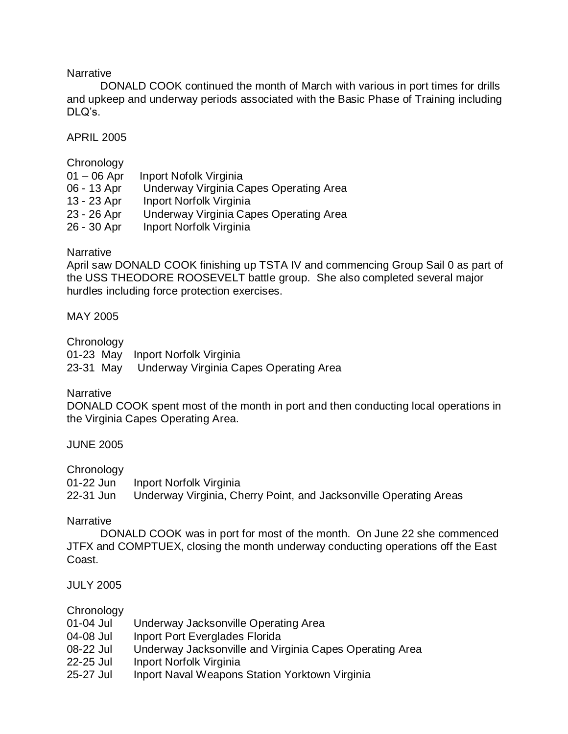#### **Narrative**

DONALD COOK continued the month of March with various in port times for drills and upkeep and underway periods associated with the Basic Phase of Training including DLQ's.

APRIL 2005

#### **Chronology**

| $01 - 06$ Apr | Inport Nofolk Virginia                 |
|---------------|----------------------------------------|
| 06 - 13 Apr   | Underway Virginia Capes Operating Area |
| 13 - 23 Apr   | Inport Norfolk Virginia                |
| 23 - 26 Apr   | Underway Virginia Capes Operating Area |
| 26 - 30 Apr   | Inport Norfolk Virginia                |
|               |                                        |

#### **Narrative**

April saw DONALD COOK finishing up TSTA IV and commencing Group Sail 0 as part of the USS THEODORE ROOSEVELT battle group. She also completed several major hurdles including force protection exercises.

#### MAY 2005

#### **Chronology**

|  | 01-23 May Inport Norfolk Virginia                |
|--|--------------------------------------------------|
|  | 23-31 May Underway Virginia Capes Operating Area |

# **Narrative**

DONALD COOK spent most of the month in port and then conducting local operations in the Virginia Capes Operating Area.

#### JUNE 2005

#### **Chronology**

01-22 Jun Inport Norfolk Virginia 22-31 Jun Underway Virginia, Cherry Point, and Jacksonville Operating Areas

#### **Narrative**

DONALD COOK was in port for most of the month. On June 22 she commenced JTFX and COMPTUEX, closing the month underway conducting operations off the East Coast.

#### JULY 2005

#### **Chronology**

- 01-04 Jul Underway Jacksonville Operating Area
- 04-08 Jul Inport Port Everglades Florida
- 08-22 Jul Underway Jacksonville and Virginia Capes Operating Area
- 22-25 Jul Inport Norfolk Virginia
- 25-27 Jul Inport Naval Weapons Station Yorktown Virginia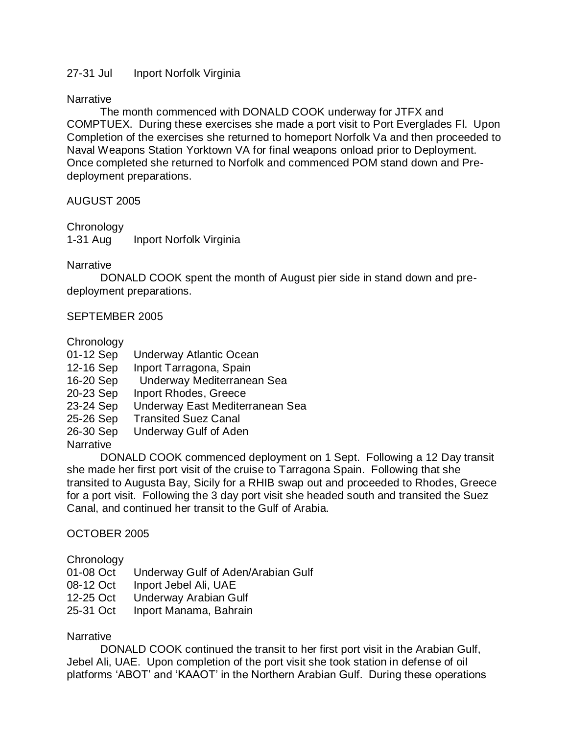# 27-31 Jul Inport Norfolk Virginia

# **Narrative**

The month commenced with DONALD COOK underway for JTFX and COMPTUEX. During these exercises she made a port visit to Port Everglades Fl. Upon Completion of the exercises she returned to homeport Norfolk Va and then proceeded to Naval Weapons Station Yorktown VA for final weapons onload prior to Deployment. Once completed she returned to Norfolk and commenced POM stand down and Predeployment preparations.

# AUGUST 2005

**Chronology** 1-31 Aug Inport Norfolk Virginia

#### **Narrative**

DONALD COOK spent the month of August pier side in stand down and predeployment preparations.

# SEPTEMBER 2005

**Chronology** 

- 01-12 Sep Underway Atlantic Ocean
- 12-16 Sep Inport Tarragona, Spain
- 16-20 Sep Underway Mediterranean Sea
- 20-23 Sep Inport Rhodes, Greece
- 23-24 Sep Underway East Mediterranean Sea
- 25-26 Sep Transited Suez Canal
- 26-30 Sep Underway Gulf of Aden

# **Narrative**

DONALD COOK commenced deployment on 1 Sept. Following a 12 Day transit she made her first port visit of the cruise to Tarragona Spain. Following that she transited to Augusta Bay, Sicily for a RHIB swap out and proceeded to Rhodes, Greece for a port visit. Following the 3 day port visit she headed south and transited the Suez Canal, and continued her transit to the Gulf of Arabia.

# OCTOBER 2005

# **Chronology**

- 01-08 Oct Underway Gulf of Aden/Arabian Gulf
- 08-12 Oct Inport Jebel Ali, UAE
- 12-25 Oct Underway Arabian Gulf
- 25-31 Oct Inport Manama, Bahrain

# **Narrative**

DONALD COOK continued the transit to her first port visit in the Arabian Gulf, Jebel Ali, UAE. Upon completion of the port visit she took station in defense of oil platforms 'ABOT' and 'KAAOT' in the Northern Arabian Gulf. During these operations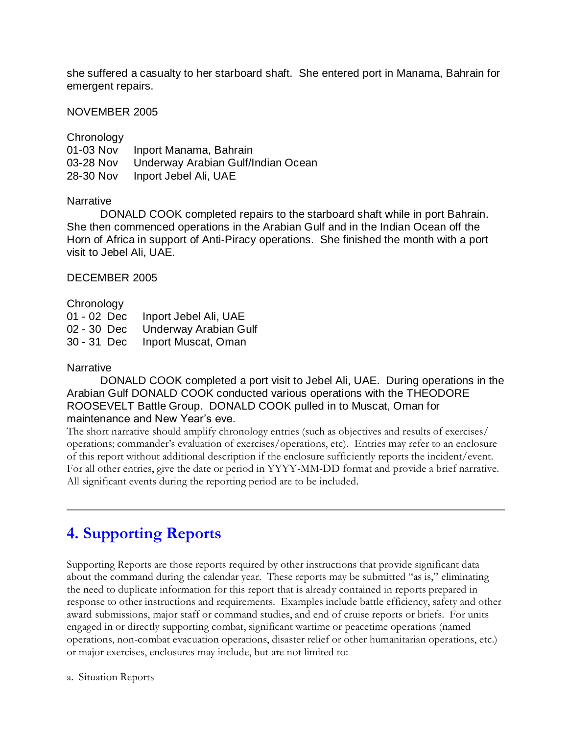she suffered a casualty to her starboard shaft. She entered port in Manama, Bahrain for emergent repairs.

#### NOVEMBER 2005

| Chronology |                                    |
|------------|------------------------------------|
| 01-03 Nov  | Inport Manama, Bahrain             |
| 03-28 Nov  | Underway Arabian Gulf/Indian Ocean |
| 28-30 Nov  | Inport Jebel Ali, UAE              |

#### **Narrative**

DONALD COOK completed repairs to the starboard shaft while in port Bahrain. She then commenced operations in the Arabian Gulf and in the Indian Ocean off the Horn of Africa in support of Anti-Piracy operations. She finished the month with a port visit to Jebel Ali, UAE.

#### DECEMBER 2005

#### **Chronology**

01 - 02 Dec Inport Jebel Ali, UAE 02 - 30 Dec Underway Arabian Gulf 30 - 31 Dec Inport Muscat, Oman

#### **Narrative**

DONALD COOK completed a port visit to Jebel Ali, UAE. During operations in the Arabian Gulf DONALD COOK conducted various operations with the THEODORE ROOSEVELT Battle Group. DONALD COOK pulled in to Muscat, Oman for maintenance and New Year's eve.

The short narrative should amplify chronology entries (such as objectives and results of exercises/ operations; commander's evaluation of exercises/operations, etc). Entries may refer to an enclosure of this report without additional description if the enclosure sufficiently reports the incident/event. For all other entries, give the date or period in YYYY-MM-DD format and provide a brief narrative. All significant events during the reporting period are to be included.

# **4. Supporting Reports**

Supporting Reports are those reports required by other instructions that provide significant data about the command during the calendar year. These reports may be submitted "as is," eliminating the need to duplicate information for this report that is already contained in reports prepared in response to other instructions and requirements. Examples include battle efficiency, safety and other award submissions, major staff or command studies, and end of cruise reports or briefs. For units engaged in or directly supporting combat, significant wartime or peacetime operations (named operations, non-combat evacuation operations, disaster relief or other humanitarian operations, etc.) or major exercises, enclosures may include, but are not limited to: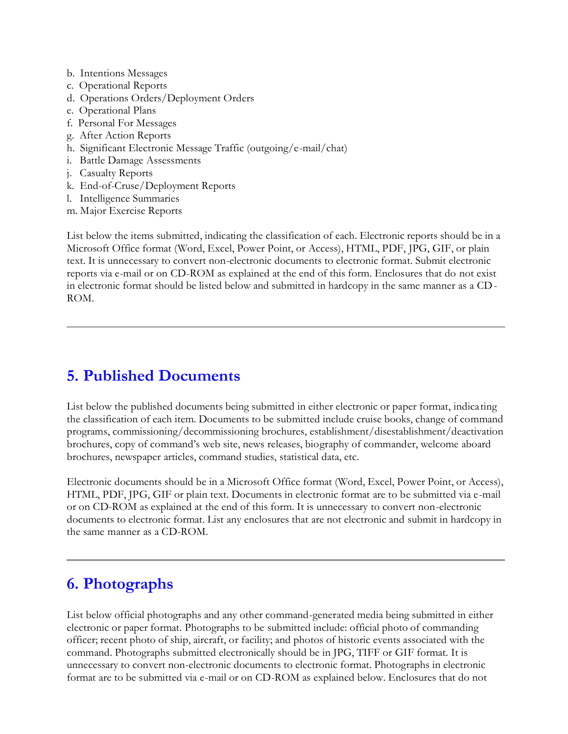- b. Intentions Messages
- c. Operational Reports
- d. Operations Orders/Deployment Orders
- e. Operational Plans
- f. Personal For Messages
- g. After Action Reports
- h. Significant Electronic Message Traffic (outgoing/e-mail/chat)
- i. Battle Damage Assessments
- j. Casualty Reports
- k. End-of-Cruse/Deployment Reports
- l. Intelligence Summaries
- m. Major Exercise Reports

List below the items submitted, indicating the classification of each. Electronic reports should be in a Microsoft Office format (Word, Excel, Power Point, or Access), HTML, PDF, JPG, GIF, or plain text. It is unnecessary to convert non-electronic documents to electronic format. Submit electronic reports via e-mail or on CD-ROM as explained at the end of this form. Enclosures that do not exist in electronic format should be listed below and submitted in hardcopy in the same manner as a CD-ROM.

# **5. Published Documents**

List below the published documents being submitted in either electronic or paper format, indicating the classification of each item. Documents to be submitted include cruise books, change of command programs, commissioning/decommissioning brochures, establishment/disestablishment/deactivation brochures, copy of command's web site, news releases, biography of commander, welcome aboard brochures, newspaper articles, command studies, statistical data, etc.

Electronic documents should be in a Microsoft Office format (Word, Excel, Power Point, or Access), HTML, PDF, JPG, GIF or plain text. Documents in electronic format are to be submitted via e-mail or on CD-ROM as explained at the end of this form. It is unnecessary to convert non-electronic documents to electronic format. List any enclosures that are not electronic and submit in hardcopy in the same manner as a CD-ROM.

# **6. Photographs**

List below official photographs and any other command-generated media being submitted in either electronic or paper format. Photographs to be submitted include: official photo of commanding officer; recent photo of ship, aircraft, or facility; and photos of historic events associated with the command. Photographs submitted electronically should be in JPG, TIFF or GIF format. It is unnecessary to convert non-electronic documents to electronic format. Photographs in electronic format are to be submitted via e-mail or on CD-ROM as explained below. Enclosures that do not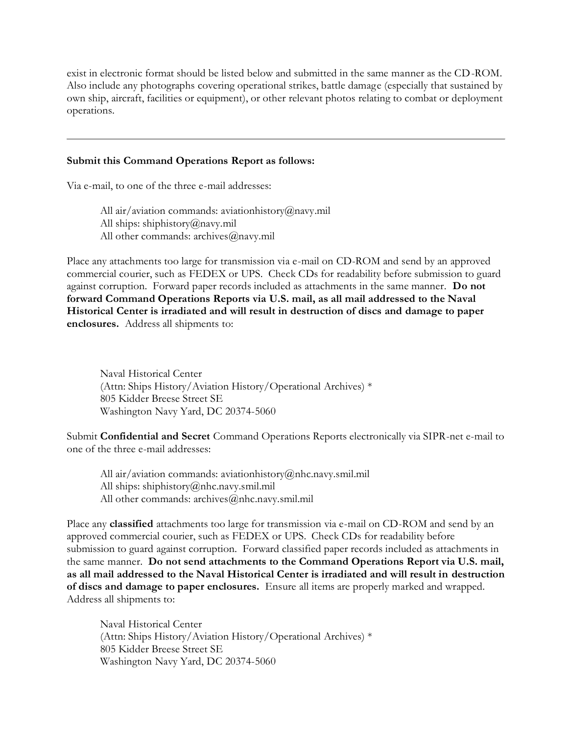exist in electronic format should be listed below and submitted in the same manner as the CD-ROM. Also include any photographs covering operational strikes, battle damage (especially that sustained by own ship, aircraft, facilities or equipment), or other relevant photos relating to combat or deployment operations.

#### **Submit this Command Operations Report as follows:**

Via e-mail, to one of the three e-mail addresses:

All air/aviation commands: aviationhistory@navy.mil All ships: shiphistory@navy.mil All other commands: archives@navy.mil

Place any attachments too large for transmission via e-mail on CD-ROM and send by an approved commercial courier, such as FEDEX or UPS. Check CDs for readability before submission to guard against corruption. Forward paper records included as attachments in the same manner. **Do not forward Command Operations Reports via U.S. mail, as all mail addressed to the Naval Historical Center is irradiated and will result in destruction of discs and damage to paper enclosures.** Address all shipments to:

Naval Historical Center (Attn: Ships History/Aviation History/Operational Archives) \* 805 Kidder Breese Street SE Washington Navy Yard, DC 20374-5060

Submit **Confidential and Secret** Command Operations Reports electronically via SIPR-net e-mail to one of the three e-mail addresses:

All air/aviation commands: aviationhistory@nhc.navy.smil.mil All ships: shiphistory@nhc.navy.smil.mil All other commands: archives@nhc.navy.smil.mil

Place any **classified** attachments too large for transmission via e-mail on CD-ROM and send by an approved commercial courier, such as FEDEX or UPS. Check CDs for readability before submission to guard against corruption. Forward classified paper records included as attachments in the same manner. **Do not send attachments to the Command Operations Report via U.S. mail, as all mail addressed to the Naval Historical Center is irradiated and will result in destruction of discs and damage to paper enclosures.** Ensure all items are properly marked and wrapped. Address all shipments to:

Naval Historical Center (Attn: Ships History/Aviation History/Operational Archives) \* 805 Kidder Breese Street SE Washington Navy Yard, DC 20374-5060